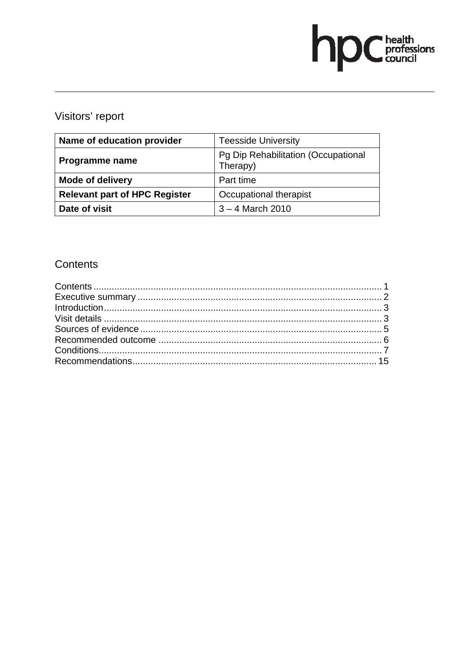# hp Chealth

# Visitors' report

| Name of education provider           | <b>Teesside University</b>                      |  |  |
|--------------------------------------|-------------------------------------------------|--|--|
| Programme name                       | Pg Dip Rehabilitation (Occupational<br>Therapy) |  |  |
| <b>Mode of delivery</b>              | Part time                                       |  |  |
| <b>Relevant part of HPC Register</b> | Occupational therapist                          |  |  |
| Date of visit                        | $3 - 4$ March 2010                              |  |  |

# Contents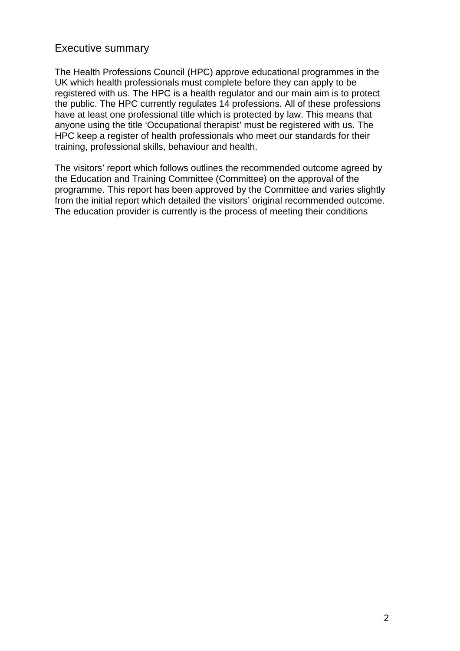# Executive summary

The Health Professions Council (HPC) approve educational programmes in the UK which health professionals must complete before they can apply to be registered with us. The HPC is a health regulator and our main aim is to protect the public. The HPC currently regulates 14 professions. All of these professions have at least one professional title which is protected by law. This means that anyone using the title 'Occupational therapist' must be registered with us. The HPC keep a register of health professionals who meet our standards for their training, professional skills, behaviour and health.

The visitors' report which follows outlines the recommended outcome agreed by the Education and Training Committee (Committee) on the approval of the programme. This report has been approved by the Committee and varies slightly from the initial report which detailed the visitors' original recommended outcome. The education provider is currently is the process of meeting their conditions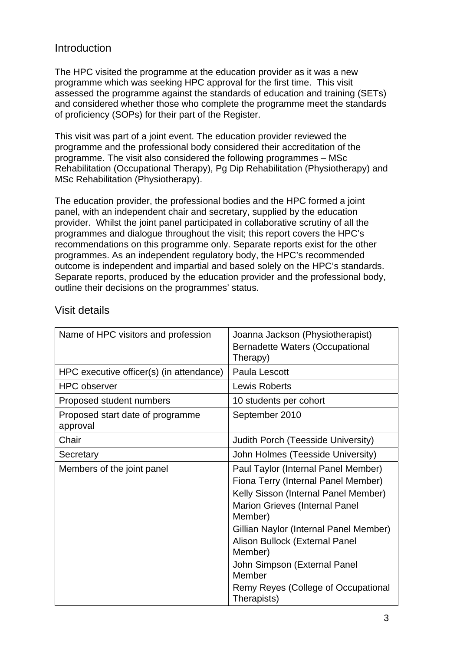# Introduction

The HPC visited the programme at the education provider as it was a new programme which was seeking HPC approval for the first time. This visit assessed the programme against the standards of education and training (SETs) and considered whether those who complete the programme meet the standards of proficiency (SOPs) for their part of the Register.

This visit was part of a joint event. The education provider reviewed the programme and the professional body considered their accreditation of the programme. The visit also considered the following programmes – MSc Rehabilitation (Occupational Therapy), Pg Dip Rehabilitation (Physiotherapy) and MSc Rehabilitation (Physiotherapy).

The education provider, the professional bodies and the HPC formed a joint panel, with an independent chair and secretary, supplied by the education provider. Whilst the joint panel participated in collaborative scrutiny of all the programmes and dialogue throughout the visit; this report covers the HPC's recommendations on this programme only. Separate reports exist for the other programmes. As an independent regulatory body, the HPC's recommended outcome is independent and impartial and based solely on the HPC's standards. Separate reports, produced by the education provider and the professional body, outline their decisions on the programmes' status.

| Name of HPC visitors and profession          | Joanna Jackson (Physiotherapist)<br><b>Bernadette Waters (Occupational</b><br>Therapy)                                                                                                                                                                                                                                                                        |
|----------------------------------------------|---------------------------------------------------------------------------------------------------------------------------------------------------------------------------------------------------------------------------------------------------------------------------------------------------------------------------------------------------------------|
| HPC executive officer(s) (in attendance)     | Paula Lescott                                                                                                                                                                                                                                                                                                                                                 |
| <b>HPC</b> observer                          | Lewis Roberts                                                                                                                                                                                                                                                                                                                                                 |
| Proposed student numbers                     | 10 students per cohort                                                                                                                                                                                                                                                                                                                                        |
| Proposed start date of programme<br>approval | September 2010                                                                                                                                                                                                                                                                                                                                                |
| Chair                                        | Judith Porch (Teesside University)                                                                                                                                                                                                                                                                                                                            |
| Secretary                                    | John Holmes (Teesside University)                                                                                                                                                                                                                                                                                                                             |
| Members of the joint panel                   | Paul Taylor (Internal Panel Member)<br>Fiona Terry (Internal Panel Member)<br>Kelly Sisson (Internal Panel Member)<br><b>Marion Grieves (Internal Panel</b><br>Member)<br>Gillian Naylor (Internal Panel Member)<br>Alison Bullock (External Panel<br>Member)<br>John Simpson (External Panel<br>Member<br>Remy Reyes (College of Occupational<br>Therapists) |

# Visit details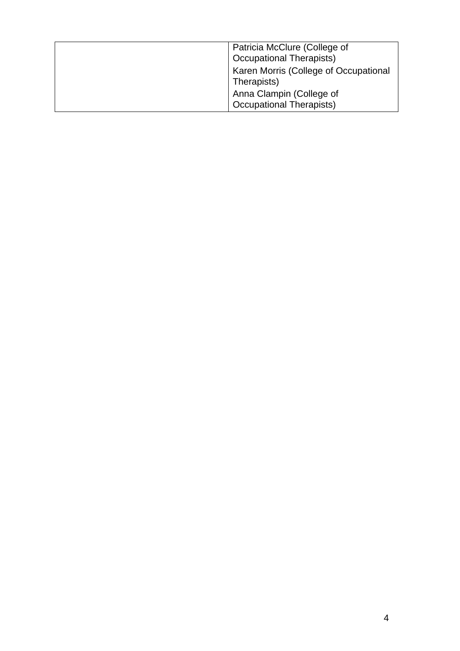| Patricia McClure (College of<br><b>Occupational Therapists)</b> |
|-----------------------------------------------------------------|
| Karen Morris (College of Occupational<br>Therapists)            |
| Anna Clampin (College of<br><b>Occupational Therapists)</b>     |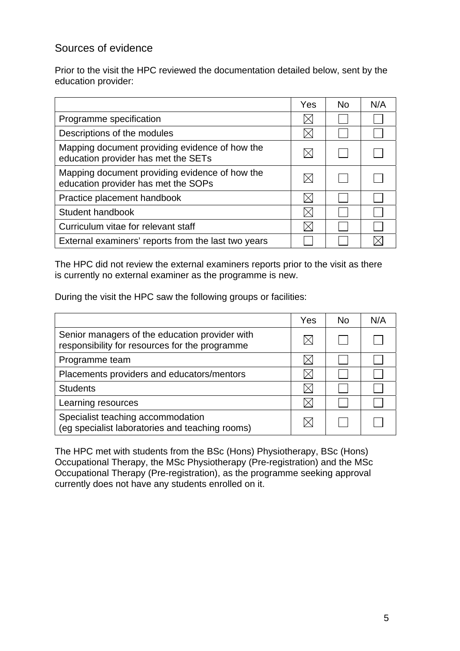# Sources of evidence

Prior to the visit the HPC reviewed the documentation detailed below, sent by the education provider:

|                                                                                       | Yes | <b>No</b> | N/A |
|---------------------------------------------------------------------------------------|-----|-----------|-----|
| Programme specification                                                               |     |           |     |
| Descriptions of the modules                                                           |     |           |     |
| Mapping document providing evidence of how the<br>education provider has met the SETs |     |           |     |
| Mapping document providing evidence of how the<br>education provider has met the SOPs |     |           |     |
| Practice placement handbook                                                           |     |           |     |
| Student handbook                                                                      |     |           |     |
| Curriculum vitae for relevant staff                                                   |     |           |     |
| External examiners' reports from the last two years                                   |     |           |     |

The HPC did not review the external examiners reports prior to the visit as there is currently no external examiner as the programme is new.

During the visit the HPC saw the following groups or facilities:

|                                                                                                  | Yes | No. | N/A |
|--------------------------------------------------------------------------------------------------|-----|-----|-----|
| Senior managers of the education provider with<br>responsibility for resources for the programme |     |     |     |
| Programme team                                                                                   |     |     |     |
| Placements providers and educators/mentors                                                       |     |     |     |
| <b>Students</b>                                                                                  |     |     |     |
| Learning resources                                                                               |     |     |     |
| Specialist teaching accommodation<br>(eg specialist laboratories and teaching rooms)             |     |     |     |

The HPC met with students from the BSc (Hons) Physiotherapy, BSc (Hons) Occupational Therapy, the MSc Physiotherapy (Pre-registration) and the MSc Occupational Therapy (Pre-registration), as the programme seeking approval currently does not have any students enrolled on it.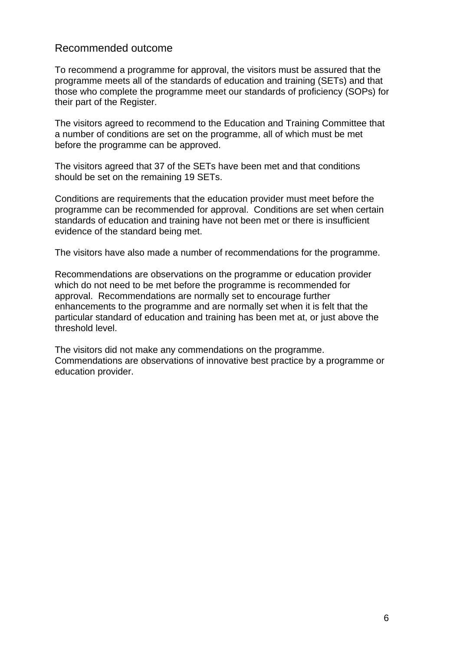## Recommended outcome

To recommend a programme for approval, the visitors must be assured that the programme meets all of the standards of education and training (SETs) and that those who complete the programme meet our standards of proficiency (SOPs) for their part of the Register.

The visitors agreed to recommend to the Education and Training Committee that a number of conditions are set on the programme, all of which must be met before the programme can be approved.

The visitors agreed that 37 of the SETs have been met and that conditions should be set on the remaining 19 SETs.

Conditions are requirements that the education provider must meet before the programme can be recommended for approval. Conditions are set when certain standards of education and training have not been met or there is insufficient evidence of the standard being met.

The visitors have also made a number of recommendations for the programme.

Recommendations are observations on the programme or education provider which do not need to be met before the programme is recommended for approval. Recommendations are normally set to encourage further enhancements to the programme and are normally set when it is felt that the particular standard of education and training has been met at, or just above the threshold level.

The visitors did not make any commendations on the programme. Commendations are observations of innovative best practice by a programme or education provider.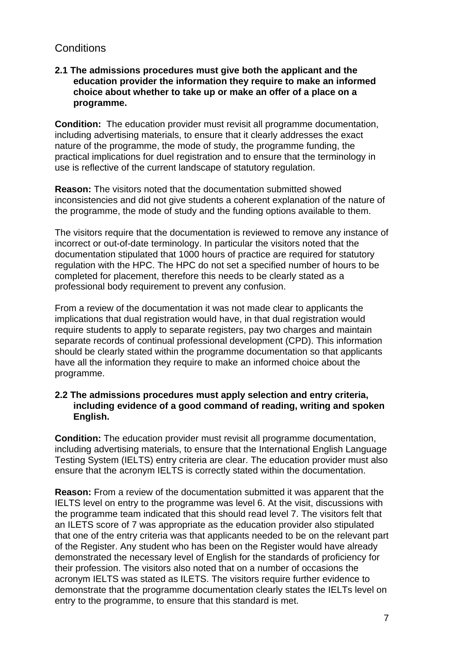# **Conditions**

#### **2.1 The admissions procedures must give both the applicant and the education provider the information they require to make an informed choice about whether to take up or make an offer of a place on a programme.**

**Condition:** The education provider must revisit all programme documentation, including advertising materials, to ensure that it clearly addresses the exact nature of the programme, the mode of study, the programme funding, the practical implications for duel registration and to ensure that the terminology in use is reflective of the current landscape of statutory regulation.

**Reason:** The visitors noted that the documentation submitted showed inconsistencies and did not give students a coherent explanation of the nature of the programme, the mode of study and the funding options available to them.

The visitors require that the documentation is reviewed to remove any instance of incorrect or out-of-date terminology. In particular the visitors noted that the documentation stipulated that 1000 hours of practice are required for statutory regulation with the HPC. The HPC do not set a specified number of hours to be completed for placement, therefore this needs to be clearly stated as a professional body requirement to prevent any confusion.

From a review of the documentation it was not made clear to applicants the implications that dual registration would have, in that dual registration would require students to apply to separate registers, pay two charges and maintain separate records of continual professional development (CPD). This information should be clearly stated within the programme documentation so that applicants have all the information they require to make an informed choice about the programme.

#### **2.2 The admissions procedures must apply selection and entry criteria, including evidence of a good command of reading, writing and spoken English.**

**Condition:** The education provider must revisit all programme documentation, including advertising materials, to ensure that the International English Language Testing System (IELTS) entry criteria are clear. The education provider must also ensure that the acronym IELTS is correctly stated within the documentation.

**Reason:** From a review of the documentation submitted it was apparent that the IELTS level on entry to the programme was level 6. At the visit, discussions with the programme team indicated that this should read level 7. The visitors felt that an ILETS score of 7 was appropriate as the education provider also stipulated that one of the entry criteria was that applicants needed to be on the relevant part of the Register. Any student who has been on the Register would have already demonstrated the necessary level of English for the standards of proficiency for their profession. The visitors also noted that on a number of occasions the acronym IELTS was stated as ILETS. The visitors require further evidence to demonstrate that the programme documentation clearly states the IELTs level on entry to the programme, to ensure that this standard is met.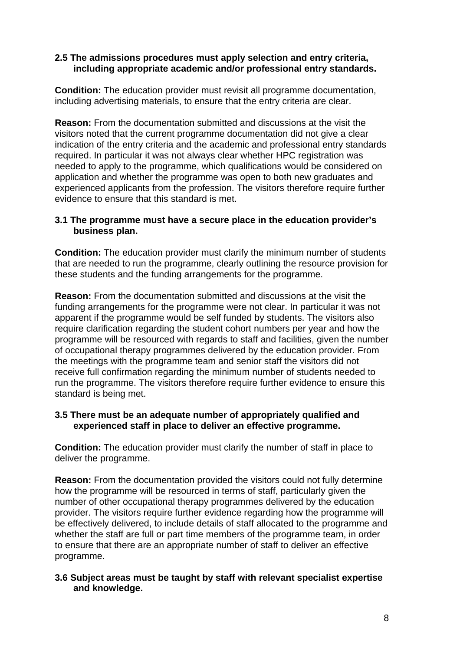#### **2.5 The admissions procedures must apply selection and entry criteria, including appropriate academic and/or professional entry standards.**

**Condition:** The education provider must revisit all programme documentation, including advertising materials, to ensure that the entry criteria are clear.

**Reason:** From the documentation submitted and discussions at the visit the visitors noted that the current programme documentation did not give a clear indication of the entry criteria and the academic and professional entry standards required. In particular it was not always clear whether HPC registration was needed to apply to the programme, which qualifications would be considered on application and whether the programme was open to both new graduates and experienced applicants from the profession. The visitors therefore require further evidence to ensure that this standard is met.

#### **3.1 The programme must have a secure place in the education provider's business plan.**

**Condition:** The education provider must clarify the minimum number of students that are needed to run the programme, clearly outlining the resource provision for these students and the funding arrangements for the programme.

**Reason:** From the documentation submitted and discussions at the visit the funding arrangements for the programme were not clear. In particular it was not apparent if the programme would be self funded by students. The visitors also require clarification regarding the student cohort numbers per year and how the programme will be resourced with regards to staff and facilities, given the number of occupational therapy programmes delivered by the education provider. From the meetings with the programme team and senior staff the visitors did not receive full confirmation regarding the minimum number of students needed to run the programme. The visitors therefore require further evidence to ensure this standard is being met.

#### **3.5 There must be an adequate number of appropriately qualified and experienced staff in place to deliver an effective programme.**

**Condition:** The education provider must clarify the number of staff in place to deliver the programme.

**Reason:** From the documentation provided the visitors could not fully determine how the programme will be resourced in terms of staff, particularly given the number of other occupational therapy programmes delivered by the education provider. The visitors require further evidence regarding how the programme will be effectively delivered, to include details of staff allocated to the programme and whether the staff are full or part time members of the programme team, in order to ensure that there are an appropriate number of staff to deliver an effective programme.

#### **3.6 Subject areas must be taught by staff with relevant specialist expertise and knowledge.**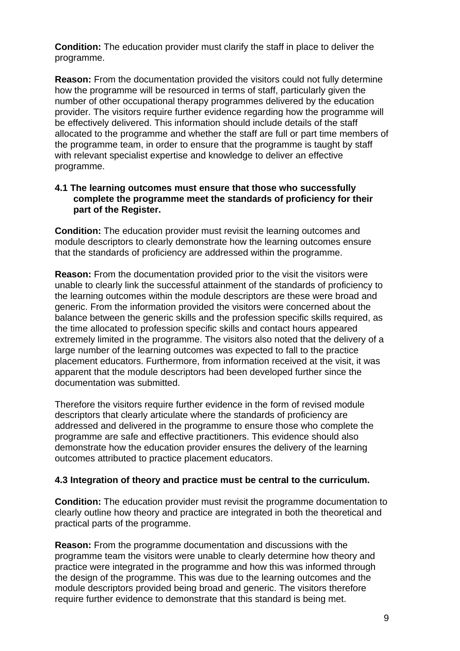**Condition:** The education provider must clarify the staff in place to deliver the programme.

**Reason:** From the documentation provided the visitors could not fully determine how the programme will be resourced in terms of staff, particularly given the number of other occupational therapy programmes delivered by the education provider. The visitors require further evidence regarding how the programme will be effectively delivered. This information should include details of the staff allocated to the programme and whether the staff are full or part time members of the programme team, in order to ensure that the programme is taught by staff with relevant specialist expertise and knowledge to deliver an effective programme.

#### **4.1 The learning outcomes must ensure that those who successfully complete the programme meet the standards of proficiency for their part of the Register.**

**Condition:** The education provider must revisit the learning outcomes and module descriptors to clearly demonstrate how the learning outcomes ensure that the standards of proficiency are addressed within the programme.

**Reason:** From the documentation provided prior to the visit the visitors were unable to clearly link the successful attainment of the standards of proficiency to the learning outcomes within the module descriptors are these were broad and generic. From the information provided the visitors were concerned about the balance between the generic skills and the profession specific skills required, as the time allocated to profession specific skills and contact hours appeared extremely limited in the programme. The visitors also noted that the delivery of a large number of the learning outcomes was expected to fall to the practice placement educators. Furthermore, from information received at the visit, it was apparent that the module descriptors had been developed further since the documentation was submitted.

Therefore the visitors require further evidence in the form of revised module descriptors that clearly articulate where the standards of proficiency are addressed and delivered in the programme to ensure those who complete the programme are safe and effective practitioners. This evidence should also demonstrate how the education provider ensures the delivery of the learning outcomes attributed to practice placement educators.

#### **4.3 Integration of theory and practice must be central to the curriculum.**

**Condition:** The education provider must revisit the programme documentation to clearly outline how theory and practice are integrated in both the theoretical and practical parts of the programme.

**Reason:** From the programme documentation and discussions with the programme team the visitors were unable to clearly determine how theory and practice were integrated in the programme and how this was informed through the design of the programme. This was due to the learning outcomes and the module descriptors provided being broad and generic. The visitors therefore require further evidence to demonstrate that this standard is being met.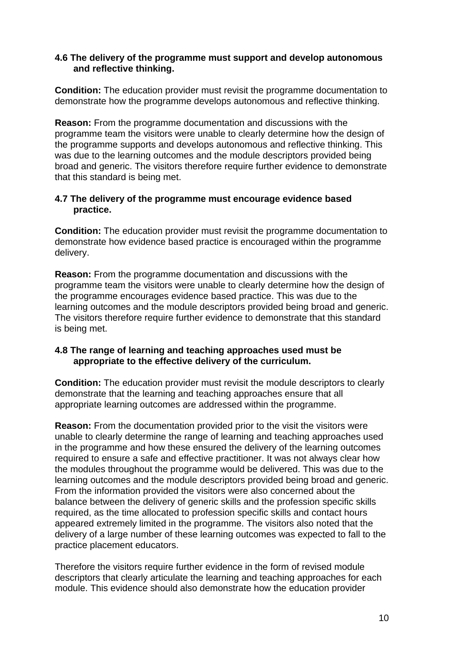#### **4.6 The delivery of the programme must support and develop autonomous and reflective thinking.**

**Condition:** The education provider must revisit the programme documentation to demonstrate how the programme develops autonomous and reflective thinking.

**Reason:** From the programme documentation and discussions with the programme team the visitors were unable to clearly determine how the design of the programme supports and develops autonomous and reflective thinking. This was due to the learning outcomes and the module descriptors provided being broad and generic. The visitors therefore require further evidence to demonstrate that this standard is being met.

#### **4.7 The delivery of the programme must encourage evidence based practice.**

**Condition:** The education provider must revisit the programme documentation to demonstrate how evidence based practice is encouraged within the programme delivery.

**Reason:** From the programme documentation and discussions with the programme team the visitors were unable to clearly determine how the design of the programme encourages evidence based practice. This was due to the learning outcomes and the module descriptors provided being broad and generic. The visitors therefore require further evidence to demonstrate that this standard is being met.

#### **4.8 The range of learning and teaching approaches used must be appropriate to the effective delivery of the curriculum.**

**Condition:** The education provider must revisit the module descriptors to clearly demonstrate that the learning and teaching approaches ensure that all appropriate learning outcomes are addressed within the programme.

**Reason:** From the documentation provided prior to the visit the visitors were unable to clearly determine the range of learning and teaching approaches used in the programme and how these ensured the delivery of the learning outcomes required to ensure a safe and effective practitioner. It was not always clear how the modules throughout the programme would be delivered. This was due to the learning outcomes and the module descriptors provided being broad and generic. From the information provided the visitors were also concerned about the balance between the delivery of generic skills and the profession specific skills required, as the time allocated to profession specific skills and contact hours appeared extremely limited in the programme. The visitors also noted that the delivery of a large number of these learning outcomes was expected to fall to the practice placement educators.

Therefore the visitors require further evidence in the form of revised module descriptors that clearly articulate the learning and teaching approaches for each module. This evidence should also demonstrate how the education provider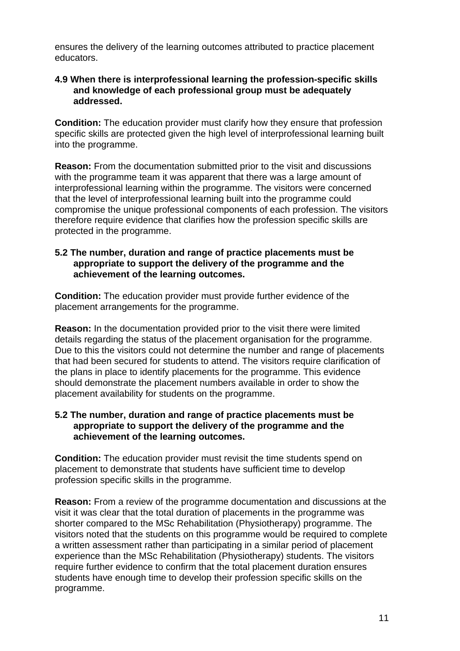ensures the delivery of the learning outcomes attributed to practice placement educators.

#### **4.9 When there is interprofessional learning the profession-specific skills and knowledge of each professional group must be adequately addressed.**

**Condition:** The education provider must clarify how they ensure that profession specific skills are protected given the high level of interprofessional learning built into the programme.

**Reason:** From the documentation submitted prior to the visit and discussions with the programme team it was apparent that there was a large amount of interprofessional learning within the programme. The visitors were concerned that the level of interprofessional learning built into the programme could compromise the unique professional components of each profession. The visitors therefore require evidence that clarifies how the profession specific skills are protected in the programme.

#### **5.2 The number, duration and range of practice placements must be appropriate to support the delivery of the programme and the achievement of the learning outcomes.**

**Condition:** The education provider must provide further evidence of the placement arrangements for the programme.

**Reason:** In the documentation provided prior to the visit there were limited details regarding the status of the placement organisation for the programme. Due to this the visitors could not determine the number and range of placements that had been secured for students to attend. The visitors require clarification of the plans in place to identify placements for the programme. This evidence should demonstrate the placement numbers available in order to show the placement availability for students on the programme.

#### **5.2 The number, duration and range of practice placements must be appropriate to support the delivery of the programme and the achievement of the learning outcomes.**

**Condition:** The education provider must revisit the time students spend on placement to demonstrate that students have sufficient time to develop profession specific skills in the programme.

**Reason:** From a review of the programme documentation and discussions at the visit it was clear that the total duration of placements in the programme was shorter compared to the MSc Rehabilitation (Physiotherapy) programme. The visitors noted that the students on this programme would be required to complete a written assessment rather than participating in a similar period of placement experience than the MSc Rehabilitation (Physiotherapy) students. The visitors require further evidence to confirm that the total placement duration ensures students have enough time to develop their profession specific skills on the programme.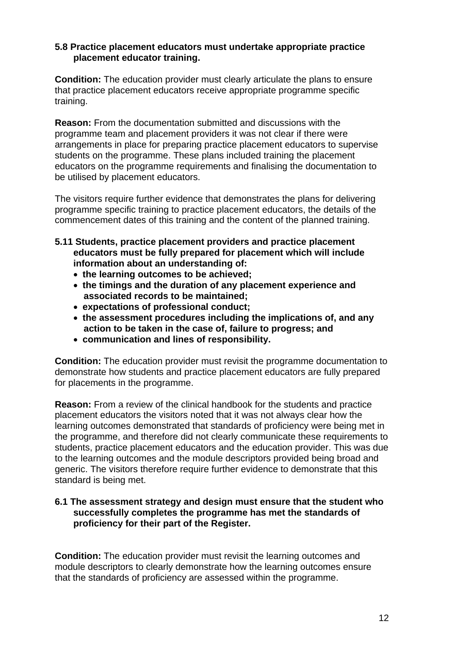#### **5.8 Practice placement educators must undertake appropriate practice placement educator training.**

**Condition:** The education provider must clearly articulate the plans to ensure that practice placement educators receive appropriate programme specific training.

**Reason:** From the documentation submitted and discussions with the programme team and placement providers it was not clear if there were arrangements in place for preparing practice placement educators to supervise students on the programme. These plans included training the placement educators on the programme requirements and finalising the documentation to be utilised by placement educators.

The visitors require further evidence that demonstrates the plans for delivering programme specific training to practice placement educators, the details of the commencement dates of this training and the content of the planned training.

- **5.11 Students, practice placement providers and practice placement educators must be fully prepared for placement which will include information about an understanding of:** 
	- **the learning outcomes to be achieved;**
	- **the timings and the duration of any placement experience and associated records to be maintained;**
	- **expectations of professional conduct;**
	- **the assessment procedures including the implications of, and any action to be taken in the case of, failure to progress; and**
	- **communication and lines of responsibility.**

**Condition:** The education provider must revisit the programme documentation to demonstrate how students and practice placement educators are fully prepared for placements in the programme.

**Reason:** From a review of the clinical handbook for the students and practice placement educators the visitors noted that it was not always clear how the learning outcomes demonstrated that standards of proficiency were being met in the programme, and therefore did not clearly communicate these requirements to students, practice placement educators and the education provider. This was due to the learning outcomes and the module descriptors provided being broad and generic. The visitors therefore require further evidence to demonstrate that this standard is being met.

#### **6.1 The assessment strategy and design must ensure that the student who successfully completes the programme has met the standards of proficiency for their part of the Register.**

**Condition:** The education provider must revisit the learning outcomes and module descriptors to clearly demonstrate how the learning outcomes ensure that the standards of proficiency are assessed within the programme.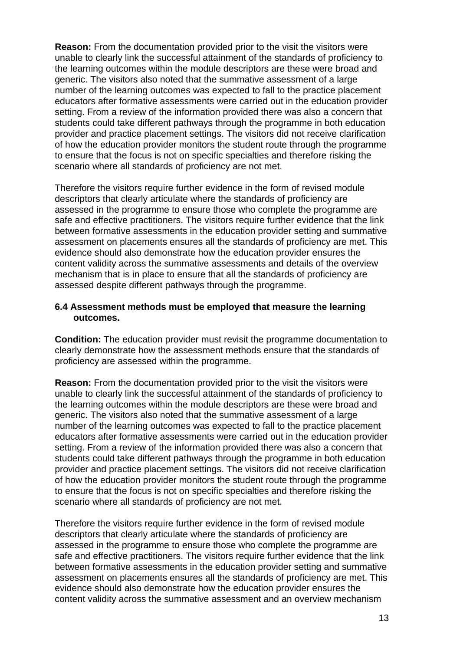**Reason:** From the documentation provided prior to the visit the visitors were unable to clearly link the successful attainment of the standards of proficiency to the learning outcomes within the module descriptors are these were broad and generic. The visitors also noted that the summative assessment of a large number of the learning outcomes was expected to fall to the practice placement educators after formative assessments were carried out in the education provider setting. From a review of the information provided there was also a concern that students could take different pathways through the programme in both education provider and practice placement settings. The visitors did not receive clarification of how the education provider monitors the student route through the programme to ensure that the focus is not on specific specialties and therefore risking the scenario where all standards of proficiency are not met.

Therefore the visitors require further evidence in the form of revised module descriptors that clearly articulate where the standards of proficiency are assessed in the programme to ensure those who complete the programme are safe and effective practitioners. The visitors require further evidence that the link between formative assessments in the education provider setting and summative assessment on placements ensures all the standards of proficiency are met. This evidence should also demonstrate how the education provider ensures the content validity across the summative assessments and details of the overview mechanism that is in place to ensure that all the standards of proficiency are assessed despite different pathways through the programme.

#### **6.4 Assessment methods must be employed that measure the learning outcomes.**

**Condition:** The education provider must revisit the programme documentation to clearly demonstrate how the assessment methods ensure that the standards of proficiency are assessed within the programme.

**Reason:** From the documentation provided prior to the visit the visitors were unable to clearly link the successful attainment of the standards of proficiency to the learning outcomes within the module descriptors are these were broad and generic. The visitors also noted that the summative assessment of a large number of the learning outcomes was expected to fall to the practice placement educators after formative assessments were carried out in the education provider setting. From a review of the information provided there was also a concern that students could take different pathways through the programme in both education provider and practice placement settings. The visitors did not receive clarification of how the education provider monitors the student route through the programme to ensure that the focus is not on specific specialties and therefore risking the scenario where all standards of proficiency are not met.

Therefore the visitors require further evidence in the form of revised module descriptors that clearly articulate where the standards of proficiency are assessed in the programme to ensure those who complete the programme are safe and effective practitioners. The visitors require further evidence that the link between formative assessments in the education provider setting and summative assessment on placements ensures all the standards of proficiency are met. This evidence should also demonstrate how the education provider ensures the content validity across the summative assessment and an overview mechanism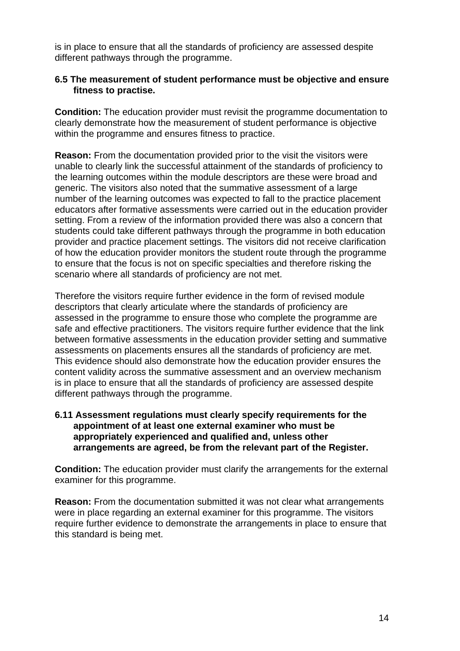is in place to ensure that all the standards of proficiency are assessed despite different pathways through the programme.

#### **6.5 The measurement of student performance must be objective and ensure fitness to practise.**

**Condition:** The education provider must revisit the programme documentation to clearly demonstrate how the measurement of student performance is objective within the programme and ensures fitness to practice.

**Reason:** From the documentation provided prior to the visit the visitors were unable to clearly link the successful attainment of the standards of proficiency to the learning outcomes within the module descriptors are these were broad and generic. The visitors also noted that the summative assessment of a large number of the learning outcomes was expected to fall to the practice placement educators after formative assessments were carried out in the education provider setting. From a review of the information provided there was also a concern that students could take different pathways through the programme in both education provider and practice placement settings. The visitors did not receive clarification of how the education provider monitors the student route through the programme to ensure that the focus is not on specific specialties and therefore risking the scenario where all standards of proficiency are not met.

Therefore the visitors require further evidence in the form of revised module descriptors that clearly articulate where the standards of proficiency are assessed in the programme to ensure those who complete the programme are safe and effective practitioners. The visitors require further evidence that the link between formative assessments in the education provider setting and summative assessments on placements ensures all the standards of proficiency are met. This evidence should also demonstrate how the education provider ensures the content validity across the summative assessment and an overview mechanism is in place to ensure that all the standards of proficiency are assessed despite different pathways through the programme.

#### **6.11 Assessment regulations must clearly specify requirements for the appointment of at least one external examiner who must be appropriately experienced and qualified and, unless other arrangements are agreed, be from the relevant part of the Register.**

**Condition:** The education provider must clarify the arrangements for the external examiner for this programme.

**Reason:** From the documentation submitted it was not clear what arrangements were in place regarding an external examiner for this programme. The visitors require further evidence to demonstrate the arrangements in place to ensure that this standard is being met.